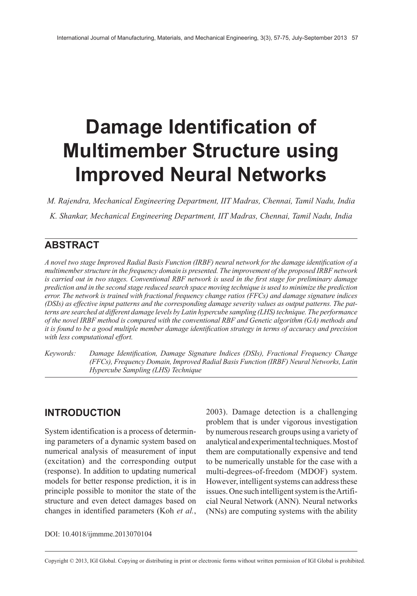# **Damage Identification of Multimember Structure using Improved Neural Networks**

*M. Rajendra, Mechanical Engineering Department, IIT Madras, Chennai, Tamil Nadu, India*

*K. Shankar, Mechanical Engineering Department, IIT Madras, Chennai, Tamil Nadu, India*

#### **ABSTRACT**

*A novel two stage Improved Radial Basis Function (IRBF) neural network for the damage identification of a multimember structure in the frequency domain is presented. The improvement of the proposed IRBF network is carried out in two stages. Conventional RBF network is used in the first stage for preliminary damage prediction and in the second stage reduced search space moving technique is used to minimize the prediction error. The network is trained with fractional frequency change ratios (FFCs) and damage signature indices (DSIs) as effective input patterns and the corresponding damage severity values as output patterns. The patterns are searched at different damage levels by Latin hypercube sampling (LHS) technique. The performance of the novel IRBF method is compared with the conventional RBF and Genetic algorithm (GA) methods and it is found to be a good multiple member damage identification strategy in terms of accuracy and precision with less computational effort.*

*Keywords: Damage Identification, Damage Signature Indices (DSIs), Fractional Frequency Change (FFCs), Frequency Domain, Improved Radial Basis Function (IRBF) Neural Networks, Latin Hypercube Sampling (LHS) Technique*

#### **INTRODUCTION**

System identification is a process of determining parameters of a dynamic system based on numerical analysis of measurement of input (excitation) and the corresponding output (response). In addition to updating numerical models for better response prediction, it is in principle possible to monitor the state of the structure and even detect damages based on changes in identified parameters (Koh *et al.*, 2003). Damage detection is a challenging problem that is under vigorous investigation by numerous research groups using a variety of analytical and experimental techniques. Most of them are computationally expensive and tend to be numerically unstable for the case with a multi-degrees-of-freedom (MDOF) system. However, intelligent systems can address these issues. One such intelligent system is the Artificial Neural Network (ANN). Neural networks (NNs) are computing systems with the ability

DOI: 10.4018/ijmmme.2013070104

Copyright © 2013, IGI Global. Copying or distributing in print or electronic forms without written permission of IGI Global is prohibited.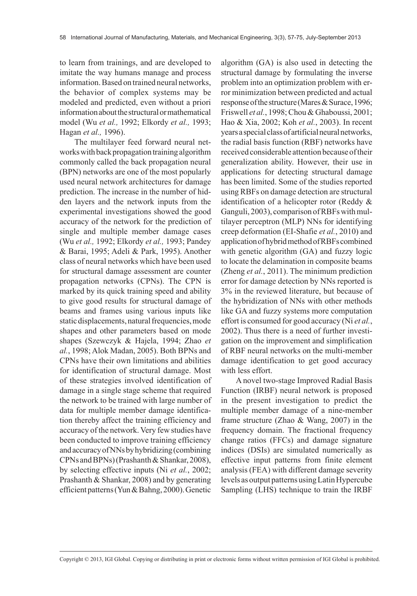to learn from trainings, and are developed to imitate the way humans manage and process information. Based on trained neural networks, the behavior of complex systems may be modeled and predicted, even without a priori information about the structural or mathematical model (Wu *et al.,* 1992; Elkordy *et al.,* 1993; Hagan *et al.,* 1996).

The multilayer feed forward neural networks with back propagation training algorithm commonly called the back propagation neural (BPN) networks are one of the most popularly used neural network architectures for damage prediction. The increase in the number of hidden layers and the network inputs from the experimental investigations showed the good accuracy of the network for the prediction of single and multiple member damage cases (Wu *et al.,* 1992; Elkordy *et al.,* 1993; Pandey & Barai, 1995; Adeli & Park, 1995). Another class of neural networks which have been used for structural damage assessment are counter propagation networks (CPNs). The CPN is marked by its quick training speed and ability to give good results for structural damage of beams and frames using various inputs like static displacements, natural frequencies, mode shapes and other parameters based on mode shapes (Szewczyk & Hajela, 1994; Zhao *et al.*, 1998; Alok Madan, 2005). Both BPNs and CPNs have their own limitations and abilities for identification of structural damage. Most of these strategies involved identification of damage in a single stage scheme that required the network to be trained with large number of data for multiple member damage identification thereby affect the training efficiency and accuracy of the network. Very few studies have been conducted to improve training efficiency and accuracy of NNs by hybridizing (combining CPNs and BPNs) (Prashanth & Shankar, 2008), by selecting effective inputs (Ni *et al.*, 2002; Prashanth & Shankar, 2008) and by generating efficient patterns (Yun & Bahng, 2000). Genetic

algorithm (GA) is also used in detecting the structural damage by formulating the inverse problem into an optimization problem with error minimization between predicted and actual response of the structure (Mares & Surace, 1996; Friswell *et al.*, 1998; Chou & Ghaboussi, 2001; Hao & Xia, 2002; Koh *et al.*, 2003). In recent years a special class of artificial neural networks, the radial basis function (RBF) networks have received considerable attention because of their generalization ability. However, their use in applications for detecting structural damage has been limited. Some of the studies reported using RBFs on damage detection are structural identification of a helicopter rotor (Reddy & Ganguli, 2003), comparison of RBFs with multilayer perceptron (MLP) NNs for identifying creep deformation (EI-Shafie *et al.*, 2010) and application of hybrid method of RBFs combined with genetic algorithm (GA) and fuzzy logic to locate the delamination in composite beams (Zheng *et al.*, 2011). The minimum prediction error for damage detection by NNs reported is 3% in the reviewed literature, but because of the hybridization of NNs with other methods like GA and fuzzy systems more computation effort is consumed for good accuracy (Ni *et al.*, 2002). Thus there is a need of further investigation on the improvement and simplification of RBF neural networks on the multi-member damage identification to get good accuracy with less effort.

A novel two-stage Improved Radial Basis Function (IRBF) neural network is proposed in the present investigation to predict the multiple member damage of a nine-member frame structure (Zhao & Wang, 2007) in the frequency domain. The fractional frequency change ratios (FFCs) and damage signature indices (DSIs) are simulated numerically as effective input patterns from finite element analysis (FEA) with different damage severity levels as output patterns using Latin Hypercube Sampling (LHS) technique to train the IRBF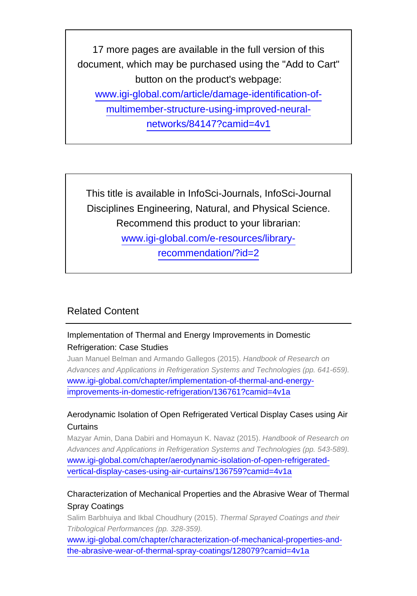17 more pages are available in the full version of this document, which may be purchased using the "Add to Cart" button on the product's webpage: [www.igi-global.com/article/damage-identification-of](http://www.igi-global.com/article/damage-identification-of-multimember-structure-using-improved-neural-networks/84147?camid=4v1)[multimember-structure-using-improved-neural](http://www.igi-global.com/article/damage-identification-of-multimember-structure-using-improved-neural-networks/84147?camid=4v1)[networks/84147?camid=4v1](http://www.igi-global.com/article/damage-identification-of-multimember-structure-using-improved-neural-networks/84147?camid=4v1)

This title is available in InfoSci-Journals, InfoSci-Journal Disciplines Engineering, Natural, and Physical Science. Recommend this product to your librarian: [www.igi-global.com/e-resources/library](http://www.igi-global.com/e-resources/library-recommendation/?id=2)[recommendation/?id=2](http://www.igi-global.com/e-resources/library-recommendation/?id=2)

### Related Content

#### Implementation of Thermal and Energy Improvements in Domestic Refrigeration: Case Studies

Juan Manuel Belman and Armando Gallegos (2015). Handbook of Research on Advances and Applications in Refrigeration Systems and Technologies (pp. 641-659). [www.igi-global.com/chapter/implementation-of-thermal-and-energy](http://www.igi-global.com/chapter/implementation-of-thermal-and-energy-improvements-in-domestic-refrigeration/136761?camid=4v1a)[improvements-in-domestic-refrigeration/136761?camid=4v1a](http://www.igi-global.com/chapter/implementation-of-thermal-and-energy-improvements-in-domestic-refrigeration/136761?camid=4v1a)

#### Aerodynamic Isolation of Open Refrigerated Vertical Display Cases using Air **Curtains**

Mazyar Amin, Dana Dabiri and Homayun K. Navaz (2015). Handbook of Research on Advances and Applications in Refrigeration Systems and Technologies (pp. 543-589). [www.igi-global.com/chapter/aerodynamic-isolation-of-open-refrigerated](http://www.igi-global.com/chapter/aerodynamic-isolation-of-open-refrigerated-vertical-display-cases-using-air-curtains/136759?camid=4v1a)[vertical-display-cases-using-air-curtains/136759?camid=4v1a](http://www.igi-global.com/chapter/aerodynamic-isolation-of-open-refrigerated-vertical-display-cases-using-air-curtains/136759?camid=4v1a)

#### Characterization of Mechanical Properties and the Abrasive Wear of Thermal Spray Coatings

Salim Barbhuiya and Ikbal Choudhury (2015). Thermal Sprayed Coatings and their Tribological Performances (pp. 328-359).

[www.igi-global.com/chapter/characterization-of-mechanical-properties-and](http://www.igi-global.com/chapter/characterization-of-mechanical-properties-and-the-abrasive-wear-of-thermal-spray-coatings/128079?camid=4v1a)[the-abrasive-wear-of-thermal-spray-coatings/128079?camid=4v1a](http://www.igi-global.com/chapter/characterization-of-mechanical-properties-and-the-abrasive-wear-of-thermal-spray-coatings/128079?camid=4v1a)